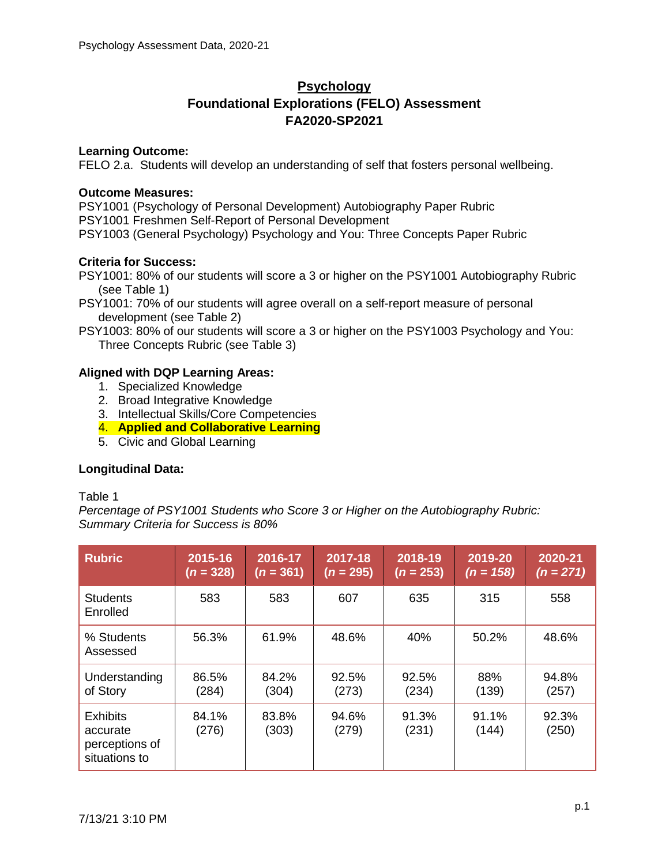# **Psychology Foundational Explorations (FELO) Assessment FA2020-SP2021**

## **Learning Outcome:**

FELO 2.a. Students will develop an understanding of self that fosters personal wellbeing.

## **Outcome Measures:**

PSY1001 (Psychology of Personal Development) Autobiography Paper Rubric PSY1001 Freshmen Self-Report of Personal Development PSY1003 (General Psychology) Psychology and You: Three Concepts Paper Rubric

## **Criteria for Success:**

PSY1001: 80% of our students will score a 3 or higher on the PSY1001 Autobiography Rubric (see Table 1)

PSY1001: 70% of our students will agree overall on a self-report measure of personal development (see Table 2)

PSY1003: 80% of our students will score a 3 or higher on the PSY1003 Psychology and You: Three Concepts Rubric (see Table 3)

## **Aligned with DQP Learning Areas:**

- 1. Specialized Knowledge
- 2. Broad Integrative Knowledge
- 3. Intellectual Skills/Core Competencies
- 4. **Applied and Collaborative Learning**
- 5. Civic and Global Learning

## **Longitudinal Data:**

## Table 1

*Percentage of PSY1001 Students who Score 3 or Higher on the Autobiography Rubric: Summary Criteria for Success is 80%*

| <b>Rubric</b>                                                  | 2015-16<br>$(n = 328)$ | 2016-17<br>$(n = 361)$ | 2017-18<br>$(n = 295)$ | 2018-19<br>$(n = 253)$ | 2019-20<br>$(n = 158)$ | 2020-21<br>$(n = 271)$ |
|----------------------------------------------------------------|------------------------|------------------------|------------------------|------------------------|------------------------|------------------------|
| <b>Students</b><br>Enrolled                                    | 583                    | 583                    | 607                    | 635                    | 315                    | 558                    |
| % Students<br>Assessed                                         | 56.3%                  | 61.9%                  | 48.6%                  | 40%                    | 50.2%                  | 48.6%                  |
| Understanding<br>of Story                                      | 86.5%<br>(284)         | 84.2%<br>(304)         | 92.5%<br>(273)         | 92.5%<br>(234)         | 88%<br>(139)           | 94.8%<br>(257)         |
| <b>Exhibits</b><br>accurate<br>perceptions of<br>situations to | 84.1%<br>(276)         | 83.8%<br>(303)         | 94.6%<br>(279)         | 91.3%<br>(231)         | 91.1%<br>(144)         | 92.3%<br>(250)         |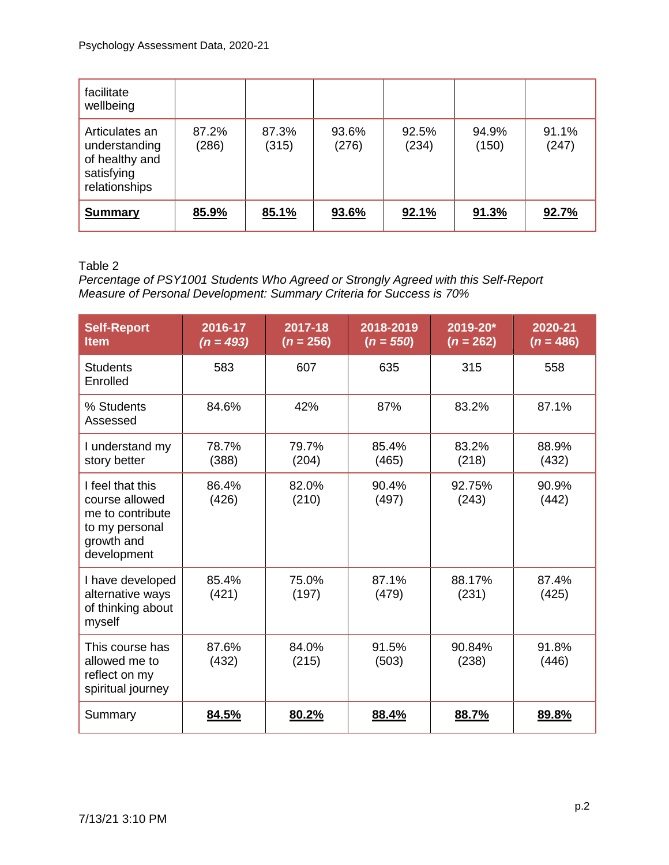| facilitate<br>wellbeing                                                          |                |                |                |                |                |                |
|----------------------------------------------------------------------------------|----------------|----------------|----------------|----------------|----------------|----------------|
| Articulates an<br>understanding<br>of healthy and<br>satisfying<br>relationships | 87.2%<br>(286) | 87.3%<br>(315) | 93.6%<br>(276) | 92.5%<br>(234) | 94.9%<br>(150) | 91.1%<br>(247) |
| <b>Summary</b>                                                                   | 85.9%          | 85.1%          | 93.6%          | 92.1%          | 91.3%          | 92.7%          |

## Table 2

*Percentage of PSY1001 Students Who Agreed or Strongly Agreed with this Self-Report Measure of Personal Development: Summary Criteria for Success is 70%*

| <b>Self-Report</b><br><b>Item</b>                                                                     | $2016 - 17$<br>$(n = 493)$ | 2017-18<br>$(n = 256)$ | 2018-2019<br>$(n = 550)$ | 2019-20*<br>$(n = 262)$ | 2020-21<br>$(n = 486)$ |
|-------------------------------------------------------------------------------------------------------|----------------------------|------------------------|--------------------------|-------------------------|------------------------|
| <b>Students</b><br>Enrolled                                                                           | 583                        | 607                    | 635                      | 315                     | 558                    |
| % Students<br>Assessed                                                                                | 84.6%                      | 42%                    | 87%                      | 83.2%                   | 87.1%                  |
| I understand my<br>story better                                                                       | 78.7%<br>(388)             | 79.7%<br>(204)         | 85.4%<br>(465)           | 83.2%<br>(218)          | 88.9%<br>(432)         |
| I feel that this<br>course allowed<br>me to contribute<br>to my personal<br>growth and<br>development | 86.4%<br>(426)             | 82.0%<br>(210)         | 90.4%<br>(497)           | 92.75%<br>(243)         | 90.9%<br>(442)         |
| I have developed<br>alternative ways<br>of thinking about<br>myself                                   | 85.4%<br>(421)             | 75.0%<br>(197)         | 87.1%<br>(479)           | 88.17%<br>(231)         | 87.4%<br>(425)         |
| This course has<br>allowed me to<br>reflect on my<br>spiritual journey                                | 87.6%<br>(432)             | 84.0%<br>(215)         | 91.5%<br>(503)           | 90.84%<br>(238)         | 91.8%<br>(446)         |
| Summary                                                                                               | 84.5%                      | 80.2%                  | 88.4%                    | 88.7%                   | 89.8%                  |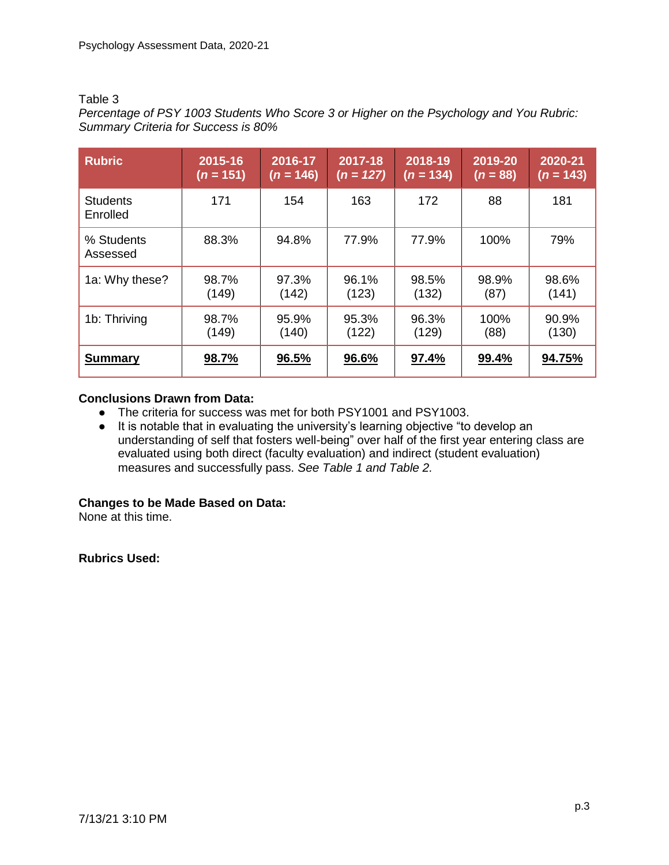#### Table 3

*Percentage of PSY 1003 Students Who Score 3 or Higher on the Psychology and You Rubric: Summary Criteria for Success is 80%*

| <b>Rubric</b>               | 2015-16     | 2016-17     | 2017-18     | 2018-19     | 2019-20    | 2020-21     |
|-----------------------------|-------------|-------------|-------------|-------------|------------|-------------|
|                             | $(n = 151)$ | $(n = 146)$ | $(n = 127)$ | $(n = 134)$ | $(n = 88)$ | $(n = 143)$ |
| <b>Students</b><br>Enrolled | 171         | 154         | 163         | 172         | 88         | 181         |
| % Students<br>Assessed      | 88.3%       | 94.8%       | 77.9%       | 77.9%       | 100%       | 79%         |
| 1a: Why these?              | 98.7%       | 97.3%       | 96.1%       | 98.5%       | 98.9%      | 98.6%       |
|                             | (149)       | (142)       | (123)       | (132)       | (87)       | (141)       |
| 1b: Thriving                | 98.7%       | 95.9%       | 95.3%       | 96.3%       | 100%       | 90.9%       |
|                             | (149)       | (140)       | (122)       | (129)       | (88)       | (130)       |
| <b>Summary</b>              | 98.7%       | 96.5%       | 96.6%       | 97.4%       | 99.4%      | 94.75%      |

## **Conclusions Drawn from Data:**

- The criteria for success was met for both PSY1001 and PSY1003.
- It is notable that in evaluating the university's learning objective "to develop an understanding of self that fosters well-being" over half of the first year entering class are evaluated using both direct (faculty evaluation) and indirect (student evaluation) measures and successfully pass. *See Table 1 and Table 2.*

## **Changes to be Made Based on Data:**

None at this time.

## **Rubrics Used:**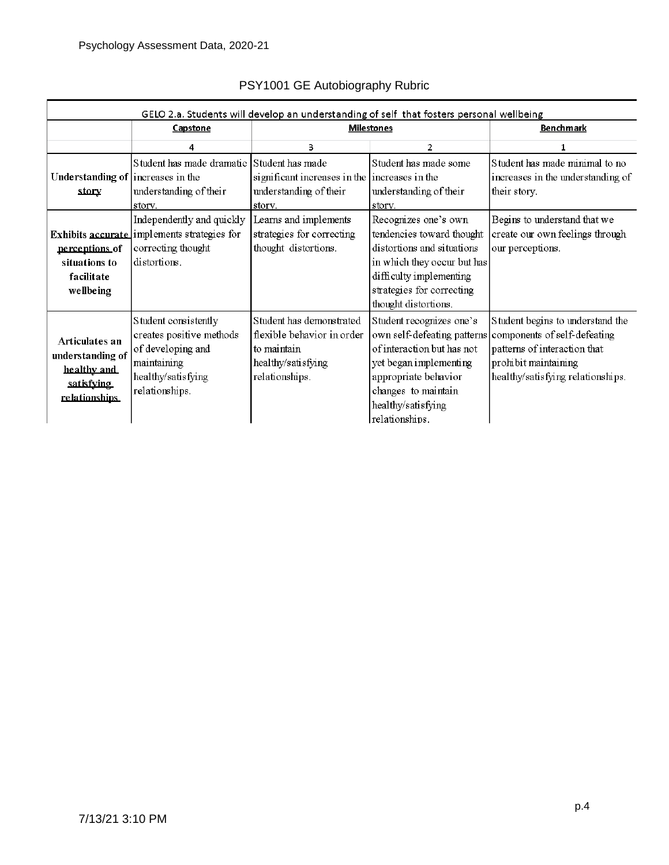| GELO 2.a. Students will develop an understanding of self that fosters personal wellbeing |                                                                                                                              |                                                                                                               |                                                                                                                                                                                                |                                                                                                                                                                                           |  |
|------------------------------------------------------------------------------------------|------------------------------------------------------------------------------------------------------------------------------|---------------------------------------------------------------------------------------------------------------|------------------------------------------------------------------------------------------------------------------------------------------------------------------------------------------------|-------------------------------------------------------------------------------------------------------------------------------------------------------------------------------------------|--|
|                                                                                          | Capstone                                                                                                                     | <b>Milestones</b>                                                                                             | <b>Benchmark</b>                                                                                                                                                                               |                                                                                                                                                                                           |  |
|                                                                                          | 4                                                                                                                            | 3                                                                                                             | 2                                                                                                                                                                                              | 1                                                                                                                                                                                         |  |
| Understanding of increases in the<br>story                                               | Student has made dramatic Student has made<br>understanding of their<br>story.                                               | significant increases in the increases in the<br>understanding of their<br>story.                             | Student has made some<br>understanding of their<br>story.                                                                                                                                      | Student has made minimal to no<br>increases in the understanding of<br>their story.                                                                                                       |  |
| perceptions of<br>situations to<br>facilitate<br>wellbeing                               | Independently and quickly<br>Exhibits accurate implements strategies for<br>correcting thought<br>distortions.               | Learns and implements<br>strategies for correcting<br>thought distortions.                                    | Recognizes one's own<br>tendencies toward thought<br>distortions and situations<br>in which they occur but has<br>difficulty implementing<br>strategies for correcting<br>thought distortions. | Begins to understand that we<br>create our own feelings through<br>our perceptions.                                                                                                       |  |
| Articulates an<br>understanding of<br>healthy and<br>satisfying<br>relationships         | Student consistently<br>creates positive methods<br>of developing and<br>maintaining<br>healthy/satisfying<br>relationships. | Student has demonstrated<br>flexible behavior in order<br>to maintain<br>healthy/satisfying<br>relationships. | Student recognizes one's<br>of interaction but has not<br>yet began implementing<br>appropriate behavior<br>changes to maintain<br>healthy/satisfying<br>relationships.                        | Student begins to understand the<br>own self-defeating patterns components of self-defeating<br>patterns of interaction that<br>prohibit maintaining<br>healthy/satisfying relationships. |  |

# PSY1001 GE Autobiography Rubric